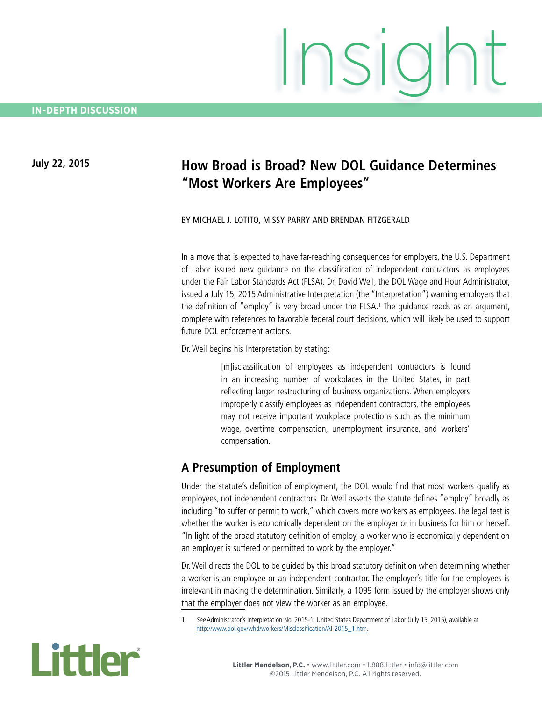# **July 22, 2015 How Broad is Broad? New DOL Guidance Determines "Most Workers Are Employees"**

Insight

#### BY MICHAEL J. LOTITO, MISSY PARRY AND BRENDAN FITZGERALD

In a move that is expected to have far-reaching consequences for employers, the U.S. Department of Labor issued new guidance on the classification of independent contractors as employees under the Fair Labor Standards Act (FLSA). Dr. David Weil, the DOL Wage and Hour Administrator, issued a July 15, 2015 Administrative Interpretation (the "Interpretation") warning employers that the definition of "employ" is very broad under the FLSA.<sup>1</sup> The guidance reads as an argument, complete with references to favorable federal court decisions, which will likely be used to support future DOL enforcement actions.

Dr. Weil begins his Interpretation by stating:

[m]isclassification of employees as independent contractors is found in an increasing number of workplaces in the United States, in part reflecting larger restructuring of business organizations. When employers improperly classify employees as independent contractors, the employees may not receive important workplace protections such as the minimum wage, overtime compensation, unemployment insurance, and workers' compensation.

### **A Presumption of Employment**

Under the statute's definition of employment, the DOL would find that most workers qualify as employees, not independent contractors. Dr. Weil asserts the statute defines "employ" broadly as including "to suffer or permit to work," which covers more workers as employees. The legal test is whether the worker is economically dependent on the employer or in business for him or herself. "In light of the broad statutory definition of employ, a worker who is economically dependent on an employer is suffered or permitted to work by the employer."

Dr. Weil directs the DOL to be guided by this broad statutory definition when determining whether a worker is an employee or an independent contractor. The employer's title for the employees is irrelevant in making the determination. Similarly, a 1099 form issued by the employer shows only that the employer does not view the worker as an employee.

See Administrator's Interpretation No. 2015-1, United States Department of Labor (July 15, 2015), available at http://www.dol.gov/whd/workers/Misclassification/AI-2015\_1.htm.

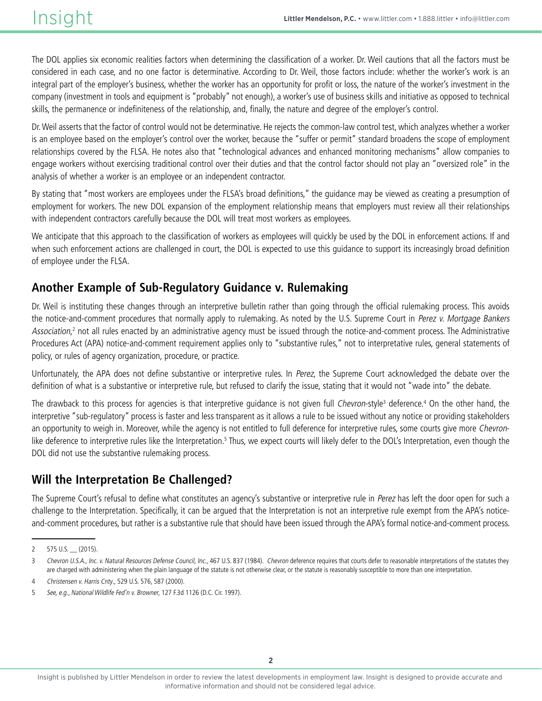The DOL applies six economic realities factors when determining the classification of a worker. Dr. Weil cautions that all the factors must be considered in each case, and no one factor is determinative. According to Dr. Weil, those factors include: whether the worker's work is an integral part of the employer's business, whether the worker has an opportunity for profit or loss, the nature of the worker's investment in the company (investment in tools and equipment is "probably" not enough), a worker's use of business skills and initiative as opposed to technical skills, the permanence or indefiniteness of the relationship, and, finally, the nature and degree of the employer's control.

Dr. Weil asserts that the factor of control would not be determinative. He rejects the common-law control test, which analyzes whether a worker is an employee based on the employer's control over the worker, because the "suffer or permit" standard broadens the scope of employment relationships covered by the FLSA. He notes also that "technological advances and enhanced monitoring mechanisms" allow companies to engage workers without exercising traditional control over their duties and that the control factor should not play an "oversized role" in the analysis of whether a worker is an employee or an independent contractor.

By stating that "most workers are employees under the FLSA's broad definitions," the guidance may be viewed as creating a presumption of employment for workers. The new DOL expansion of the employment relationship means that employers must review all their relationships with independent contractors carefully because the DOL will treat most workers as employees.

We anticipate that this approach to the classification of workers as employees will quickly be used by the DOL in enforcement actions. If and when such enforcement actions are challenged in court, the DOL is expected to use this guidance to support its increasingly broad definition of employee under the FLSA.

## **Another Example of Sub-Regulatory Guidance v. Rulemaking**

Dr. Weil is instituting these changes through an interpretive bulletin rather than going through the official rulemaking process. This avoids the notice-and-comment procedures that normally apply to rulemaking. As noted by the U.S. Supreme Court in Perez v. Mortgage Bankers Association,<sup>2</sup> not all rules enacted by an administrative agency must be issued through the notice-and-comment process. The Administrative Procedures Act (APA) notice-and-comment requirement applies only to "substantive rules," not to interpretative rules, general statements of policy, or rules of agency organization, procedure, or practice.

Unfortunately, the APA does not define substantive or interpretive rules. In Perez, the Supreme Court acknowledged the debate over the definition of what is a substantive or interpretive rule, but refused to clarify the issue, stating that it would not "wade into" the debate.

The drawback to this process for agencies is that interpretive guidance is not given full Chevron-style<sup>3</sup> deference.<sup>4</sup> On the other hand, the interpretive "sub-regulatory" process is faster and less transparent as it allows a rule to be issued without any notice or providing stakeholders an opportunity to weigh in. Moreover, while the agency is not entitled to full deference for interpretive rules, some courts give more Chevronlike deference to interpretive rules like the Interpretation.<sup>5</sup> Thus, we expect courts will likely defer to the DOL's Interpretation, even though the DOL did not use the substantive rulemaking process.

# **Will the Interpretation Be Challenged?**

The Supreme Court's refusal to define what constitutes an agency's substantive or interpretive rule in Perez has left the door open for such a challenge to the Interpretation. Specifically, it can be argued that the Interpretation is not an interpretive rule exempt from the APA's noticeand-comment procedures, but rather is a substantive rule that should have been issued through the APA's formal notice-and-comment process.

<sup>2 575</sup> U.S. (2015).

<sup>3</sup> Chevron U.S.A., Inc. v. Natural Resources Defense Council, Inc., 467 U.S. 837 (1984). Chevron deference requires that courts defer to reasonable interpretations of the statutes they are charged with administering when the plain language of the statute is not otherwise clear, or the statute is reasonably susceptible to more than one interpretation.

<sup>4</sup> Christensen v. Harris Cnty., 529 U.S. 576, 587 (2000).

<sup>5</sup> See, e.g., National Wildlife Fed'n v. Browner, 127 F.3d 1126 (D.C. Cir. 1997).